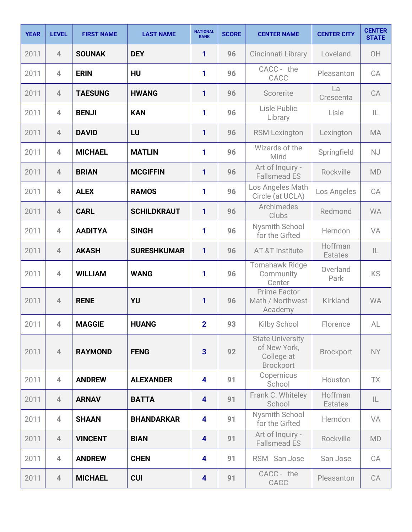| <b>YEAR</b> | <b>LEVEL</b>            | <b>FIRST NAME</b> | <b>LAST NAME</b>   | <b>NATIONAL</b><br><b>RANK</b> | <b>SCORE</b> | <b>CENTER NAME</b>                                                        | <b>CENTER CITY</b>        | <b>CENTER</b><br><b>STATE</b> |
|-------------|-------------------------|-------------------|--------------------|--------------------------------|--------------|---------------------------------------------------------------------------|---------------------------|-------------------------------|
| 2011        | $\overline{4}$          | <b>SOUNAK</b>     | <b>DEY</b>         | 1                              | 96           | Cincinnati Library                                                        | Loveland                  | OH                            |
| 2011        | $\overline{\mathbf{4}}$ | <b>ERIN</b>       | <b>HU</b>          | 1                              | 96           | CACC - the<br>CACC                                                        | Pleasanton                | CA                            |
| 2011        | $\overline{4}$          | <b>TAESUNG</b>    | <b>HWANG</b>       | 1                              | 96           | Scorerite                                                                 | La<br>Crescenta           | CA                            |
| 2011        | $\overline{4}$          | <b>BENJI</b>      | <b>KAN</b>         | 1                              | 96           | Lisle Public<br>Library                                                   | Lisle                     | IL                            |
| 2011        | $\overline{4}$          | <b>DAVID</b>      | LU                 | 1                              | 96           | <b>RSM Lexington</b>                                                      | Lexington                 | <b>MA</b>                     |
| 2011        | $\overline{4}$          | <b>MICHAEL</b>    | <b>MATLIN</b>      | 1                              | 96           | Wizards of the<br>Mind                                                    | Springfield               | <b>NJ</b>                     |
| 2011        | $\overline{4}$          | <b>BRIAN</b>      | <b>MCGIFFIN</b>    | 1                              | 96           | Art of Inquiry -<br><b>Fallsmead ES</b>                                   | Rockville                 | <b>MD</b>                     |
| 2011        | $\overline{4}$          | <b>ALEX</b>       | <b>RAMOS</b>       | 1                              | 96           | Los Angeles Math<br>Circle (at UCLA)                                      | Los Angeles               | CA                            |
| 2011        | $\overline{4}$          | <b>CARL</b>       | <b>SCHILDKRAUT</b> | 1                              | 96           | Archimedes<br>Clubs                                                       | Redmond                   | <b>WA</b>                     |
| 2011        | $\overline{4}$          | <b>AADITYA</b>    | <b>SINGH</b>       | 1                              | 96           | Nysmith School<br>for the Gifted                                          | Herndon                   | VA                            |
| 2011        | $\overline{4}$          | <b>AKASH</b>      | <b>SURESHKUMAR</b> | 1                              | 96           | AT &T Institute                                                           | Hoffman<br><b>Estates</b> | IL                            |
| 2011        | $\overline{4}$          | <b>WILLIAM</b>    | <b>WANG</b>        | 1                              | 96           | <b>Tomahawk Ridge</b><br>Community<br>Center                              | Overland<br>Park          | KS                            |
| 2011        | $\overline{4}$          | <b>RENE</b>       | YU                 | 1                              | 96           | <b>Prime Factor</b><br>Math / Northwest<br>Academy                        | Kirkland                  | <b>WA</b>                     |
| 2011        | $\overline{4}$          | <b>MAGGIE</b>     | <b>HUANG</b>       | $\overline{2}$                 | 93           | Kilby School                                                              | Florence                  | AL                            |
| 2011        | $\overline{4}$          | <b>RAYMOND</b>    | <b>FENG</b>        | $\overline{3}$                 | 92           | <b>State University</b><br>of New York,<br>College at<br><b>Brockport</b> | <b>Brockport</b>          | <b>NY</b>                     |
| 2011        | $\overline{4}$          | <b>ANDREW</b>     | <b>ALEXANDER</b>   | 4                              | 91           | Copernicus<br>School                                                      | Houston                   | TX                            |
| 2011        | $\overline{4}$          | <b>ARNAV</b>      | <b>BATTA</b>       | $\overline{\mathbf{4}}$        | 91           | Frank C. Whiteley<br>School                                               | Hoffman<br><b>Estates</b> | IL                            |
| 2011        | $\overline{4}$          | <b>SHAAN</b>      | <b>BHANDARKAR</b>  | 4                              | 91           | Nysmith School<br>for the Gifted                                          | Herndon                   | VA                            |
| 2011        | $\overline{4}$          | <b>VINCENT</b>    | <b>BIAN</b>        | 4                              | 91           | Art of Inquiry -<br><b>Fallsmead ES</b>                                   | Rockville                 | MD                            |
| 2011        | $\overline{4}$          | <b>ANDREW</b>     | <b>CHEN</b>        | 4                              | 91           | RSM San Jose                                                              | San Jose                  | CA                            |
| 2011        | $\overline{4}$          | <b>MICHAEL</b>    | <b>CUI</b>         | $\overline{\mathbf{4}}$        | 91           | CACC - the<br>CACC                                                        | Pleasanton                | CA                            |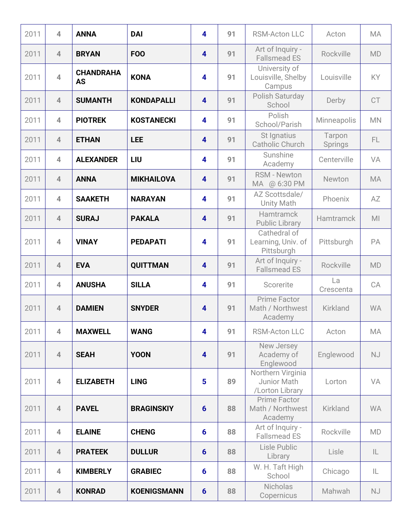| 2011 | $\overline{4}$ | <b>ANNA</b>                   | <b>DAI</b>         | $\overline{\mathbf{4}}$ | 91 | <b>RSM-Acton LLC</b>                                | Acton             | <b>MA</b>      |
|------|----------------|-------------------------------|--------------------|-------------------------|----|-----------------------------------------------------|-------------------|----------------|
| 2011 | $\overline{4}$ | <b>BRYAN</b>                  | <b>FOO</b>         | $\overline{\mathbf{4}}$ | 91 | Art of Inquiry -<br><b>Fallsmead ES</b>             | Rockville         | <b>MD</b>      |
| 2011 | $\overline{4}$ | <b>CHANDRAHA</b><br><b>AS</b> | <b>KONA</b>        | $\overline{\mathbf{4}}$ | 91 | University of<br>Louisville, Shelby<br>Campus       | Louisville        | <b>KY</b>      |
| 2011 | $\overline{4}$ | <b>SUMANTH</b>                | <b>KONDAPALLI</b>  | $\overline{\mathbf{4}}$ | 91 | Polish Saturday<br>School                           | Derby             | <b>CT</b>      |
| 2011 | $\overline{4}$ | <b>PIOTREK</b>                | <b>KOSTANECKI</b>  | $\overline{\mathbf{4}}$ | 91 | Polish<br>School/Parish                             | Minneapolis       | <b>MN</b>      |
| 2011 | $\overline{4}$ | <b>ETHAN</b>                  | <b>LEE</b>         | $\overline{\mathbf{4}}$ | 91 | St Ignatius<br>Catholic Church                      | Tarpon<br>Springs | FL.            |
| 2011 | $\overline{4}$ | <b>ALEXANDER</b>              | LIU                | 4                       | 91 | Sunshine<br>Academy                                 | Centerville       | VA             |
| 2011 | $\overline{4}$ | <b>ANNA</b>                   | <b>MIKHAILOVA</b>  | $\overline{\mathbf{4}}$ | 91 | <b>RSM - Newton</b><br>MA @ 6:30 PM                 | Newton            | <b>MA</b>      |
| 2011 | $\overline{4}$ | <b>SAAKETH</b>                | <b>NARAYAN</b>     | 4                       | 91 | AZ Scottsdale/<br><b>Unity Math</b>                 | Phoenix           | AZ             |
| 2011 | $\overline{4}$ | <b>SURAJ</b>                  | <b>PAKALA</b>      | $\overline{\mathbf{4}}$ | 91 | <b>Hamtramck</b><br><b>Public Library</b>           | Hamtramck         | M <sub>l</sub> |
| 2011 | $\overline{4}$ | <b>VINAY</b>                  | <b>PEDAPATI</b>    | $\overline{\mathbf{4}}$ | 91 | Cathedral of<br>Learning, Univ. of<br>Pittsburgh    | Pittsburgh        | PA             |
| 2011 | $\overline{4}$ | <b>EVA</b>                    | <b>QUITTMAN</b>    | $\overline{\mathbf{4}}$ | 91 | Art of Inquiry -<br><b>Fallsmead ES</b>             | Rockville         | <b>MD</b>      |
| 2011 | $\overline{4}$ | <b>ANUSHA</b>                 | <b>SILLA</b>       | $\overline{\mathbf{4}}$ | 91 | Scorerite                                           | La<br>Crescenta   | CA             |
| 2011 | $\overline{4}$ | <b>DAMIEN</b>                 | <b>SNYDER</b>      | $\overline{\mathbf{4}}$ | 91 | Prime Factor<br>Math / Northwest<br>Academy         | Kirkland          | <b>WA</b>      |
| 2011 | $\overline{4}$ | <b>MAXWELL</b>                | <b>WANG</b>        | 4                       | 91 | <b>RSM-Acton LLC</b>                                | Acton             | MA             |
| 2011 | $\overline{4}$ | <b>SEAH</b>                   | <b>YOON</b>        | $\overline{\mathbf{4}}$ | 91 | New Jersey<br>Academy of<br>Englewood               | Englewood         | <b>NJ</b>      |
| 2011 | $\overline{4}$ | <b>ELIZABETH</b>              | <b>LING</b>        | $5\phantom{a}$          | 89 | Northern Virginia<br>Junior Math<br>/Lorton Library | Lorton            | VA             |
| 2011 | $\overline{4}$ | <b>PAVEL</b>                  | <b>BRAGINSKIY</b>  | $6\phantom{1}6$         | 88 | <b>Prime Factor</b><br>Math / Northwest<br>Academy  | Kirkland          | <b>WA</b>      |
| 2011 | $\overline{4}$ | <b>ELAINE</b>                 | <b>CHENG</b>       | $6\phantom{1}6$         | 88 | Art of Inquiry -<br><b>Fallsmead ES</b>             | Rockville         | MD             |
| 2011 | $\overline{4}$ | <b>PRATEEK</b>                | <b>DULLUR</b>      | $6\phantom{1}6$         | 88 | Lisle Public<br>Library                             | Lisle             | IL             |
| 2011 | $\overline{4}$ | <b>KIMBERLY</b>               | <b>GRABIEC</b>     | $6\phantom{1}6$         | 88 | W. H. Taft High<br>School                           | Chicago           | IL             |
| 2011 | $\overline{4}$ | <b>KONRAD</b>                 | <b>KOENIGSMANN</b> | $6\phantom{1}6$         | 88 | <b>Nicholas</b><br>Copernicus                       | Mahwah            | <b>NJ</b>      |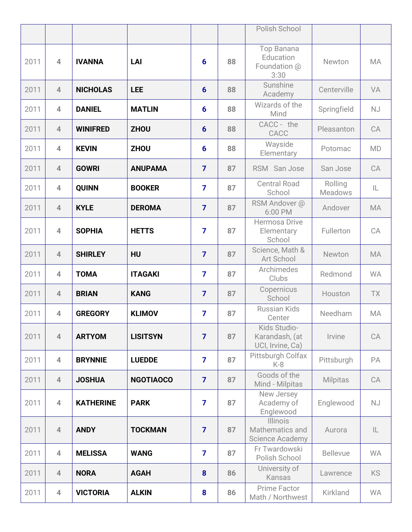|      |                |                  |                  |                |    | Polish School                                         |                           |           |
|------|----------------|------------------|------------------|----------------|----|-------------------------------------------------------|---------------------------|-----------|
|      |                |                  |                  |                |    |                                                       |                           |           |
| 2011 | $\overline{4}$ | <b>IVANNA</b>    | LAI              | 6              | 88 | Top Banana<br>Education<br>Foundation @<br>3:30       | Newton                    | MA        |
| 2011 | $\overline{4}$ | <b>NICHOLAS</b>  | <b>LEE</b>       | $6\phantom{1}$ | 88 | Sunshine<br>Academy                                   | Centerville               | VA        |
| 2011 | $\overline{4}$ | <b>DANIEL</b>    | <b>MATLIN</b>    | 6              | 88 | Wizards of the<br>Mind                                | Springfield               | <b>NJ</b> |
| 2011 | $\overline{4}$ | <b>WINIFRED</b>  | <b>ZHOU</b>      | $6\phantom{1}$ | 88 | CACC - the<br>CACC                                    | Pleasanton                | CA        |
| 2011 | $\overline{4}$ | <b>KEVIN</b>     | <b>ZHOU</b>      | 6              | 88 | Wayside<br>Elementary                                 | Potomac                   | <b>MD</b> |
| 2011 | $\overline{4}$ | <b>GOWRI</b>     | <b>ANUPAMA</b>   | $\overline{7}$ | 87 | RSM San Jose                                          | San Jose                  | CA        |
| 2011 | $\overline{4}$ | <b>QUINN</b>     | <b>BOOKER</b>    | $\overline{7}$ | 87 | <b>Central Road</b><br>School                         | Rolling<br><b>Meadows</b> | IL        |
| 2011 | $\overline{4}$ | <b>KYLE</b>      | <b>DEROMA</b>    | $\overline{7}$ | 87 | RSM Andover @<br>6:00 PM                              | Andover                   | <b>MA</b> |
| 2011 | $\overline{4}$ | <b>SOPHIA</b>    | <b>HETTS</b>     | $\overline{7}$ | 87 | Hermosa Drive<br>Elementary<br>School                 | Fullerton                 | CA        |
| 2011 | $\overline{4}$ | <b>SHIRLEY</b>   | <b>HU</b>        | $\overline{7}$ | 87 | Science, Math &<br>Art School                         | Newton                    | <b>MA</b> |
| 2011 | $\overline{4}$ | <b>TOMA</b>      | <b>ITAGAKI</b>   | $\overline{7}$ | 87 | Archimedes<br>Clubs                                   | Redmond                   | <b>WA</b> |
| 2011 | $\overline{4}$ | <b>BRIAN</b>     | <b>KANG</b>      | $\overline{7}$ | 87 | Copernicus<br>School                                  | Houston                   | <b>TX</b> |
| 2011 | $\overline{4}$ | <b>GREGORY</b>   | <b>KLIMOV</b>    | $\overline{7}$ | 87 | <b>Russian Kids</b><br>Center                         | Needham                   | MA        |
| 2011 | $\overline{4}$ | <b>ARTYOM</b>    | <b>LISITSYN</b>  | $\overline{7}$ | 87 | Kids Studio-<br>Karandash, (at<br>UCI, Irvine, Ca)    | Irvine                    | CA        |
| 2011 | $\overline{4}$ | <b>BRYNNIE</b>   | <b>LUEDDE</b>    | $\overline{7}$ | 87 | Pittsburgh Colfax<br>$K-8$                            | Pittsburgh                | PA        |
| 2011 | $\overline{4}$ | <b>JOSHUA</b>    | <b>NGOTIAOCO</b> | $\overline{7}$ | 87 | Goods of the<br>Mind - Milpitas                       | <b>Milpitas</b>           | CA        |
| 2011 | $\overline{4}$ | <b>KATHERINE</b> | <b>PARK</b>      | $\overline{7}$ | 87 | New Jersey<br>Academy of<br>Englewood                 | Englewood                 | <b>NJ</b> |
| 2011 | $\overline{4}$ | <b>ANDY</b>      | <b>TOCKMAN</b>   | $\overline{7}$ | 87 | Illinois<br>Mathematics and<br><b>Science Academy</b> | Aurora                    | L         |
| 2011 | $\overline{4}$ | <b>MELISSA</b>   | <b>WANG</b>      | $\overline{7}$ | 87 | Fr Twardowski<br>Polish School                        | <b>Bellevue</b>           | <b>WA</b> |
| 2011 | $\overline{4}$ | <b>NORA</b>      | <b>AGAH</b>      | 8              | 86 | University of<br><b>Kansas</b>                        | Lawrence                  | <b>KS</b> |
| 2011 | $\overline{4}$ | <b>VICTORIA</b>  | <b>ALKIN</b>     | 8              | 86 | Prime Factor<br>Math / Northwest                      | Kirkland                  | <b>WA</b> |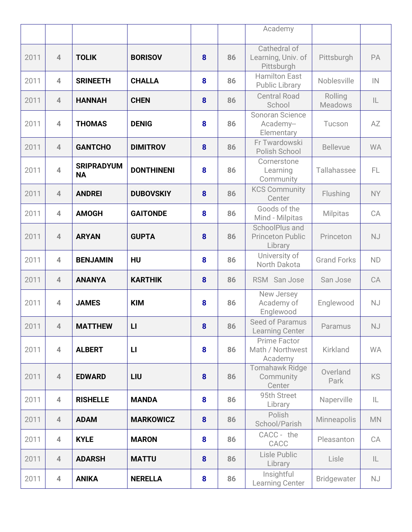|      |                         |                                |                   |   |    | Academy                                              |                           |                            |
|------|-------------------------|--------------------------------|-------------------|---|----|------------------------------------------------------|---------------------------|----------------------------|
|      |                         |                                |                   |   |    |                                                      |                           |                            |
| 2011 | $\overline{4}$          | <b>TOLIK</b>                   | <b>BORISOV</b>    | 8 | 86 | Cathedral of<br>Learning, Univ. of<br>Pittsburgh     | Pittsburgh                | PA                         |
| 2011 | $\overline{4}$          | <b>SRINEETH</b>                | <b>CHALLA</b>     | 8 | 86 | <b>Hamilton East</b><br><b>Public Library</b>        | Noblesville               | $\ensuremath{\mathsf{IN}}$ |
| 2011 | $\overline{4}$          | <b>HANNAH</b>                  | <b>CHEN</b>       | 8 | 86 | <b>Central Road</b><br>School                        | Rolling<br><b>Meadows</b> | $\mathsf{IL}$              |
| 2011 | $\overline{\mathbf{4}}$ | <b>THOMAS</b>                  | <b>DENIG</b>      | 8 | 86 | Sonoran Science<br>Academy--<br>Elementary           | Tucson                    | AZ                         |
| 2011 | $\overline{4}$          | <b>GANTCHO</b>                 | <b>DIMITROV</b>   | 8 | 86 | Fr Twardowski<br>Polish School                       | <b>Bellevue</b>           | <b>WA</b>                  |
| 2011 | $\overline{4}$          | <b>SRIPRADYUM</b><br><b>NA</b> | <b>DONTHINENI</b> | 8 | 86 | Cornerstone<br>Learning<br>Community                 | Tallahassee               | FL.                        |
| 2011 | $\overline{4}$          | <b>ANDREI</b>                  | <b>DUBOVSKIY</b>  | 8 | 86 | <b>KCS Community</b><br>Center                       | Flushing                  | <b>NY</b>                  |
| 2011 | $\overline{4}$          | <b>AMOGH</b>                   | <b>GAITONDE</b>   | 8 | 86 | Goods of the<br>Mind - Milpitas                      | <b>Milpitas</b>           | CA                         |
| 2011 | $\overline{4}$          | <b>ARYAN</b>                   | <b>GUPTA</b>      | 8 | 86 | SchoolPlus and<br><b>Princeton Public</b><br>Library | Princeton                 | <b>NJ</b>                  |
| 2011 | $\overline{4}$          | <b>BENJAMIN</b>                | <b>HU</b>         | 8 | 86 | University of<br>North Dakota                        | <b>Grand Forks</b>        | <b>ND</b>                  |
| 2011 | $\overline{4}$          | <b>ANANYA</b>                  | <b>KARTHIK</b>    | 8 | 86 | RSM San Jose                                         | San Jose                  | CA                         |
| 2011 | $\overline{4}$          | <b>JAMES</b>                   | <b>KIM</b>        | 8 | 86 | New Jersey<br>Academy of<br>Englewood                | Englewood                 | <b>NJ</b>                  |
| 2011 | $\overline{4}$          | <b>MATTHEW</b>                 | $\mathsf{L}$      | 8 | 86 | Seed of Paramus<br><b>Learning Center</b>            | Paramus                   | NJ                         |
| 2011 | $\overline{4}$          | <b>ALBERT</b>                  | $\mathbf{L}$      | 8 | 86 | Prime Factor<br>Math / Northwest<br>Academy          | Kirkland                  | <b>WA</b>                  |
| 2011 | $\overline{4}$          | <b>EDWARD</b>                  | LIU               | 8 | 86 | <b>Tomahawk Ridge</b><br>Community<br>Center         | Overland<br>Park          | <b>KS</b>                  |
| 2011 | $\overline{4}$          | <b>RISHELLE</b>                | <b>MANDA</b>      | 8 | 86 | 95th Street<br>Library                               | Naperville                | IL                         |
| 2011 | $\overline{4}$          | <b>ADAM</b>                    | <b>MARKOWICZ</b>  | 8 | 86 | Polish<br>School/Parish                              | Minneapolis               | <b>MN</b>                  |
| 2011 | $\overline{4}$          | <b>KYLE</b>                    | <b>MARON</b>      | 8 | 86 | CACC - the<br>CACC                                   | Pleasanton                | CA                         |
| 2011 | $\overline{4}$          | <b>ADARSH</b>                  | <b>MATTU</b>      | 8 | 86 | Lisle Public<br>Library                              | Lisle                     | IL                         |
| 2011 | $\overline{4}$          | <b>ANIKA</b>                   | <b>NERELLA</b>    | 8 | 86 | Insightful<br><b>Learning Center</b>                 | Bridgewater               | <b>NJ</b>                  |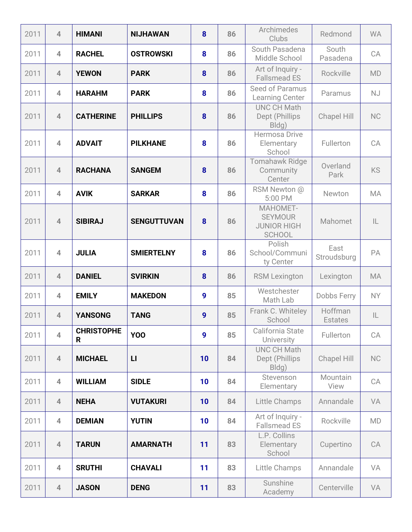| 2011 | $\overline{4}$ | <b>HIMANI</b>          | <b>NIJHAWAN</b>    | 8                | 86 | Archimedes<br>Clubs                                               | Redmond                   | <b>WA</b>     |
|------|----------------|------------------------|--------------------|------------------|----|-------------------------------------------------------------------|---------------------------|---------------|
| 2011 | $\overline{4}$ | <b>RACHEL</b>          | <b>OSTROWSKI</b>   | 8                | 86 | South Pasadena<br>Middle School                                   | South<br>Pasadena         | CA            |
| 2011 | $\overline{4}$ | <b>YEWON</b>           | <b>PARK</b>        | 8                | 86 | Art of Inquiry -<br><b>Fallsmead ES</b>                           | Rockville                 | <b>MD</b>     |
| 2011 | $\overline{4}$ | <b>HARAHM</b>          | <b>PARK</b>        | 8                | 86 | Seed of Paramus<br><b>Learning Center</b>                         | Paramus                   | <b>NJ</b>     |
| 2011 | $\overline{4}$ | <b>CATHERINE</b>       | <b>PHILLIPS</b>    | 8                | 86 | <b>UNC CH Math</b><br>Dept (Phillips<br>Bldg)                     | <b>Chapel Hill</b>        | <b>NC</b>     |
| 2011 | $\overline{4}$ | <b>ADVAIT</b>          | <b>PILKHANE</b>    | 8                | 86 | <b>Hermosa Drive</b><br>Elementary<br>School                      | Fullerton                 | CA            |
| 2011 | $\overline{4}$ | <b>RACHANA</b>         | <b>SANGEM</b>      | 8                | 86 | <b>Tomahawk Ridge</b><br>Community<br>Center                      | Overland<br>Park          | <b>KS</b>     |
| 2011 | $\overline{4}$ | <b>AVIK</b>            | <b>SARKAR</b>      | 8                | 86 | RSM Newton @<br>5:00 PM                                           | Newton                    | <b>MA</b>     |
| 2011 | $\overline{4}$ | <b>SIBIRAJ</b>         | <b>SENGUTTUVAN</b> | 8                | 86 | MAHOMET-<br><b>SEYMOUR</b><br><b>JUNIOR HIGH</b><br><b>SCHOOL</b> | Mahomet                   | $\mathsf{IL}$ |
| 2011 | $\overline{4}$ | <b>JULIA</b>           | <b>SMIERTELNY</b>  | 8                | 86 | Polish<br>School/Communi<br>ty Center                             | East<br>Stroudsburg       | PA            |
| 2011 | $\overline{4}$ | <b>DANIEL</b>          | <b>SVIRKIN</b>     | 8                | 86 | <b>RSM Lexington</b>                                              | Lexington                 | <b>MA</b>     |
| 2011 | $\overline{4}$ | <b>EMILY</b>           | <b>MAKEDON</b>     | 9                | 85 | Westchester<br>Math Lab                                           | Dobbs Ferry               | <b>NY</b>     |
| 2011 | $\overline{4}$ | <b>YANSONG</b>         | <b>TANG</b>        | 9                | 85 | Frank C. Whiteley<br>School                                       | Hoffman<br><b>Estates</b> | $\mathsf{IL}$ |
| 2011 | $\overline{4}$ | <b>CHRISTOPHE</b><br>R | <b>YOO</b>         | $\boldsymbol{9}$ | 85 | California State<br><b>University</b>                             | Fullerton                 | CA            |
| 2011 | $\overline{4}$ | <b>MICHAEL</b>         | $\mathsf{L}$       | 10               | 84 | <b>UNC CH Math</b><br>Dept (Phillips<br>Bldg)                     | <b>Chapel Hill</b>        | NC            |
| 2011 | $\overline{4}$ | <b>WILLIAM</b>         | <b>SIDLE</b>       | 10               | 84 | Stevenson<br>Elementary                                           | Mountain<br>View          | CA            |
| 2011 | $\overline{4}$ | <b>NEHA</b>            | <b>VUTAKURI</b>    | 10               | 84 | <b>Little Champs</b>                                              | Annandale                 | VA            |
| 2011 | $\overline{4}$ | <b>DEMIAN</b>          | <b>YUTIN</b>       | 10               | 84 | Art of Inquiry -<br><b>Fallsmead ES</b>                           | Rockville                 | MD            |
| 2011 | $\overline{4}$ | <b>TARUN</b>           | <b>AMARNATH</b>    | 11               | 83 | L.P. Collins<br>Elementary<br>School                              | Cupertino                 | CA            |
| 2011 | $\overline{4}$ | <b>SRUTHI</b>          | <b>CHAVALI</b>     | 11               | 83 | Little Champs                                                     | Annandale                 | VA            |
| 2011 | $\overline{4}$ | <b>JASON</b>           | <b>DENG</b>        | 11               | 83 | Sunshine<br>Academy                                               | Centerville               | VA            |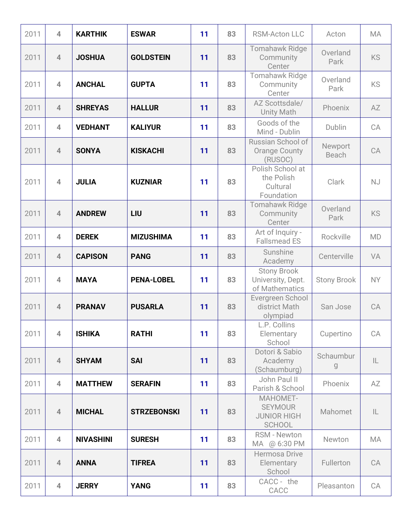| 2011 | $\overline{\mathbf{4}}$  | <b>KARTHIK</b>   | <b>ESWAR</b>       | 11 | 83 | <b>RSM-Acton LLC</b>                                              | Acton              | <b>MA</b>     |
|------|--------------------------|------------------|--------------------|----|----|-------------------------------------------------------------------|--------------------|---------------|
| 2011 | $\overline{4}$           | <b>JOSHUA</b>    | <b>GOLDSTEIN</b>   | 11 | 83 | <b>Tomahawk Ridge</b><br>Community<br>Center                      | Overland<br>Park   | <b>KS</b>     |
| 2011 | $\overline{\mathcal{A}}$ | <b>ANCHAL</b>    | <b>GUPTA</b>       | 11 | 83 | <b>Tomahawk Ridge</b><br>Community<br>Center                      | Overland<br>Park   | <b>KS</b>     |
| 2011 | $\overline{4}$           | <b>SHREYAS</b>   | <b>HALLUR</b>      | 11 | 83 | AZ Scottsdale/<br><b>Unity Math</b>                               | Phoenix            | AZ            |
| 2011 | $\overline{4}$           | <b>VEDHANT</b>   | <b>KALIYUR</b>     | 11 | 83 | Goods of the<br>Mind - Dublin                                     | Dublin             | CA            |
| 2011 | $\overline{4}$           | <b>SONYA</b>     | <b>KISKACHI</b>    | 11 | 83 | Russian School of<br><b>Orange County</b><br>(RUSOC)              | Newport<br>Beach   | CA            |
| 2011 | $\overline{\mathbf{4}}$  | <b>JULIA</b>     | <b>KUZNIAR</b>     | 11 | 83 | Polish School at<br>the Polish<br>Cultural<br>Foundation          | Clark              | <b>NJ</b>     |
| 2011 | $\overline{4}$           | <b>ANDREW</b>    | LIU                | 11 | 83 | <b>Tomahawk Ridge</b><br>Community<br>Center                      | Overland<br>Park   | KS            |
| 2011 | $\overline{\mathbf{4}}$  | <b>DEREK</b>     | <b>MIZUSHIMA</b>   | 11 | 83 | Art of Inquiry -<br><b>Fallsmead ES</b>                           | Rockville          | <b>MD</b>     |
| 2011 | $\overline{4}$           | <b>CAPISON</b>   | <b>PANG</b>        | 11 | 83 | Sunshine<br>Academy                                               | Centerville        | VA            |
| 2011 | 4                        | <b>MAYA</b>      | <b>PENA-LOBEL</b>  | 11 | 83 | <b>Stony Brook</b><br>University, Dept.<br>of Mathematics         | <b>Stony Brook</b> | <b>NY</b>     |
| 2011 | $\overline{4}$           | <b>PRANAV</b>    | <b>PUSARLA</b>     | 11 | 83 | Evergreen School<br>district Math<br>olympiad                     | San Jose           | CA            |
| 2011 | $\overline{4}$           | <b>ISHIKA</b>    | <b>RATHI</b>       | 11 | 83 | L.P. Collins<br>Elementary<br>School                              | Cupertino          | CA            |
| 2011 | $\overline{4}$           | <b>SHYAM</b>     | <b>SAI</b>         | 11 | 83 | Dotori & Sabio<br>Academy<br>(Schaumburg)                         | Schaumbur<br>g     | $\mathsf{IL}$ |
| 2011 | $\overline{4}$           | <b>MATTHEW</b>   | <b>SERAFIN</b>     | 11 | 83 | John Paul II<br>Parish & School                                   | Phoenix            | AZ            |
| 2011 | $\overline{4}$           | <b>MICHAL</b>    | <b>STRZEBONSKI</b> | 11 | 83 | MAHOMET-<br><b>SEYMOUR</b><br><b>JUNIOR HIGH</b><br><b>SCHOOL</b> | Mahomet            | IL            |
| 2011 | $\overline{4}$           | <b>NIVASHINI</b> | <b>SURESH</b>      | 11 | 83 | <b>RSM - Newton</b><br>MA @ 6:30 PM                               | Newton             | MA            |
| 2011 | $\overline{4}$           | <b>ANNA</b>      | <b>TIFREA</b>      | 11 | 83 | Hermosa Drive<br>Elementary<br>School                             | Fullerton          | CA            |
| 2011 | $\overline{4}$           | <b>JERRY</b>     | <b>YANG</b>        | 11 | 83 | CACC - the<br>CACC                                                | Pleasanton         | CA            |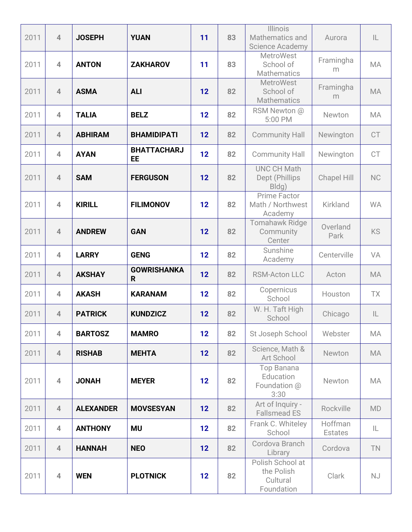| 2011 | $\overline{4}$           | <b>JOSEPH</b>    | <b>YUAN</b>              | 11 | 83 | Illinois<br>Mathematics and<br><b>Science Academy</b>    | Aurora                    | $\mathsf{IL}$ |
|------|--------------------------|------------------|--------------------------|----|----|----------------------------------------------------------|---------------------------|---------------|
| 2011 | $\overline{4}$           | <b>ANTON</b>     | <b>ZAKHAROV</b>          | 11 | 83 | <b>MetroWest</b><br>School of<br><b>Mathematics</b>      | Framingha<br>m            | MA            |
| 2011 | $\overline{4}$           | <b>ASMA</b>      | <b>ALI</b>               | 12 | 82 | <b>MetroWest</b><br>School of<br><b>Mathematics</b>      | Framingha<br>m            | <b>MA</b>     |
| 2011 | $\overline{4}$           | <b>TALIA</b>     | <b>BELZ</b>              | 12 | 82 | RSM Newton @<br>5:00 PM                                  | Newton                    | MA            |
| 2011 | $\overline{4}$           | <b>ABHIRAM</b>   | <b>BHAMIDIPATI</b>       | 12 | 82 | <b>Community Hall</b>                                    | Newington                 | <b>CT</b>     |
| 2011 | $\overline{4}$           | <b>AYAN</b>      | <b>BHATTACHARJ</b><br>EE | 12 | 82 | <b>Community Hall</b>                                    | Newington                 | <b>CT</b>     |
| 2011 | $\overline{4}$           | <b>SAM</b>       | <b>FERGUSON</b>          | 12 | 82 | <b>UNC CH Math</b><br>Dept (Phillips<br>Bldg)            | <b>Chapel Hill</b>        | NC            |
| 2011 | $\overline{\mathcal{A}}$ | <b>KIRILL</b>    | <b>FILIMONOV</b>         | 12 | 82 | <b>Prime Factor</b><br>Math / Northwest<br>Academy       | Kirkland                  | <b>WA</b>     |
| 2011 | $\overline{4}$           | <b>ANDREW</b>    | <b>GAN</b>               | 12 | 82 | <b>Tomahawk Ridge</b><br>Community<br>Center             | Overland<br>Park          | <b>KS</b>     |
| 2011 | $\overline{4}$           | <b>LARRY</b>     | <b>GENG</b>              | 12 | 82 | Sunshine<br>Academy                                      | Centerville               | VA            |
| 2011 | $\overline{4}$           | <b>AKSHAY</b>    | <b>GOWRISHANKA</b><br>R  | 12 | 82 | <b>RSM-Acton LLC</b>                                     | Acton                     | <b>MA</b>     |
| 2011 | $\overline{4}$           | <b>AKASH</b>     | <b>KARANAM</b>           | 12 | 82 | Copernicus<br>School                                     | Houston                   | <b>TX</b>     |
| 2011 | $\overline{4}$           | <b>PATRICK</b>   | <b>KUNDZICZ</b>          | 12 | 82 | W. H. Taft High<br>School                                | Chicago                   | IL            |
| 2011 | $\overline{\mathbf{4}}$  | <b>BARTOSZ</b>   | <b>MAMRO</b>             | 12 | 82 | St Joseph School                                         | Webster                   | MA            |
| 2011 | $\overline{4}$           | <b>RISHAB</b>    | <b>MEHTA</b>             | 12 | 82 | Science, Math &<br>Art School                            | Newton                    | MA            |
| 2011 | $\overline{4}$           | <b>JONAH</b>     | <b>MEYER</b>             | 12 | 82 | Top Banana<br>Education<br>Foundation @<br>3:30          | Newton                    | MA            |
| 2011 | $\overline{4}$           | <b>ALEXANDER</b> | <b>MOVSESYAN</b>         | 12 | 82 | Art of Inquiry -<br><b>Fallsmead ES</b>                  | Rockville                 | <b>MD</b>     |
| 2011 | $\overline{4}$           | <b>ANTHONY</b>   | <b>MU</b>                | 12 | 82 | Frank C. Whiteley<br>School                              | Hoffman<br><b>Estates</b> | IL.           |
| 2011 | $\overline{4}$           | <b>HANNAH</b>    | <b>NEO</b>               | 12 | 82 | Cordova Branch<br>Library                                | Cordova                   | <b>TN</b>     |
| 2011 | $\overline{4}$           | <b>WEN</b>       | <b>PLOTNICK</b>          | 12 | 82 | Polish School at<br>the Polish<br>Cultural<br>Foundation | Clark                     | <b>NJ</b>     |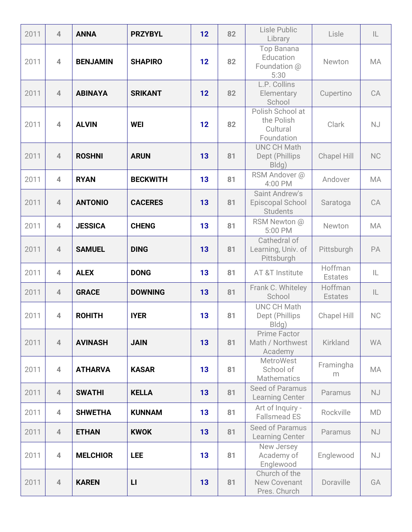| 2011 | $\overline{4}$ | <b>ANNA</b>     | <b>PRZYBYL</b>  | 12 | 82 | Lisle Public<br>Library                                      | Lisle                     | IL        |
|------|----------------|-----------------|-----------------|----|----|--------------------------------------------------------------|---------------------------|-----------|
| 2011 | $\overline{4}$ | <b>BENJAMIN</b> | <b>SHAPIRO</b>  | 12 | 82 | <b>Top Banana</b><br>Education<br>Foundation @<br>5:30       | Newton                    | <b>MA</b> |
| 2011 | $\overline{4}$ | <b>ABINAYA</b>  | <b>SRIKANT</b>  | 12 | 82 | L.P. Collins<br>Elementary<br>School                         | Cupertino                 | CA        |
| 2011 | $\overline{4}$ | <b>ALVIN</b>    | <b>WEI</b>      | 12 | 82 | Polish School at<br>the Polish<br>Cultural<br>Foundation     | Clark                     | <b>NJ</b> |
| 2011 | $\overline{4}$ | <b>ROSHNI</b>   | <b>ARUN</b>     | 13 | 81 | <b>UNC CH Math</b><br>Dept (Phillips<br>Bldg)                | Chapel Hill               | <b>NC</b> |
| 2011 | $\overline{4}$ | <b>RYAN</b>     | <b>BECKWITH</b> | 13 | 81 | RSM Andover @<br>4:00 PM                                     | Andover                   | <b>MA</b> |
| 2011 | $\overline{4}$ | <b>ANTONIO</b>  | <b>CACERES</b>  | 13 | 81 | <b>Saint Andrew's</b><br>Episcopal School<br><b>Students</b> | Saratoga                  | CA        |
| 2011 | $\overline{4}$ | <b>JESSICA</b>  | <b>CHENG</b>    | 13 | 81 | RSM Newton @<br>5:00 PM                                      | Newton                    | <b>MA</b> |
| 2011 | $\overline{4}$ | <b>SAMUEL</b>   | <b>DING</b>     | 13 | 81 | Cathedral of<br>Learning, Univ. of<br>Pittsburgh             | Pittsburgh                | PA        |
| 2011 | $\overline{4}$ | <b>ALEX</b>     | <b>DONG</b>     | 13 | 81 | AT &T Institute                                              | Hoffman<br><b>Estates</b> | IL.       |
| 2011 | $\overline{4}$ | <b>GRACE</b>    | <b>DOWNING</b>  | 13 | 81 | Frank C. Whiteley<br>School                                  | Hoffman<br><b>Estates</b> | IL        |
| 2011 | $\overline{4}$ | <b>ROHITH</b>   | <b>IYER</b>     | 13 | 81 | <b>UNC CH Math</b><br>Dept (Phillips<br>Bldg)                | <b>Chapel Hill</b>        | <b>NC</b> |
| 2011 | $\overline{4}$ | <b>AVINASH</b>  | <b>JAIN</b>     | 13 | 81 | Prime Factor<br>Math / Northwest<br>Academy                  | <b>Kirkland</b>           | <b>WA</b> |
| 2011 | $\overline{4}$ | <b>ATHARVA</b>  | <b>KASAR</b>    | 13 | 81 | <b>MetroWest</b><br>School of<br><b>Mathematics</b>          | Framingha<br>m            | MA        |
| 2011 | $\overline{4}$ | <b>SWATHI</b>   | <b>KELLA</b>    | 13 | 81 | Seed of Paramus<br><b>Learning Center</b>                    | Paramus                   | <b>NJ</b> |
| 2011 | $\overline{4}$ | <b>SHWETHA</b>  | <b>KUNNAM</b>   | 13 | 81 | Art of Inquiry -<br><b>Fallsmead ES</b>                      | Rockville                 | <b>MD</b> |
| 2011 | $\overline{4}$ | <b>ETHAN</b>    | <b>KWOK</b>     | 13 | 81 | Seed of Paramus<br><b>Learning Center</b>                    | Paramus                   | <b>NJ</b> |
| 2011 | $\overline{4}$ | <b>MELCHIOR</b> | <b>LEE</b>      | 13 | 81 | New Jersey<br>Academy of<br>Englewood                        | Englewood                 | <b>NJ</b> |
| 2011 | $\overline{4}$ | <b>KAREN</b>    | $\mathsf{L}$    | 13 | 81 | Church of the<br><b>New Covenant</b><br>Pres. Church         | Doraville                 | GA        |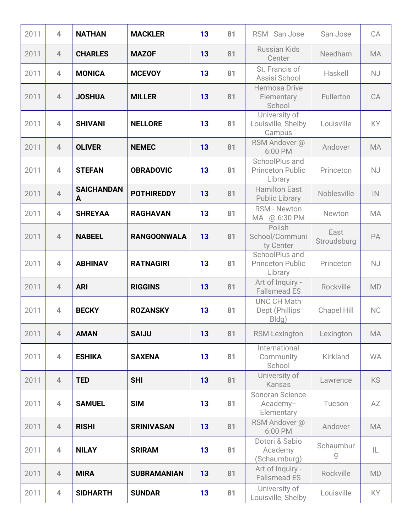| 2011 | $\overline{4}$ | <b>NATHAN</b>          | <b>MACKLER</b>     | 13 | 81 | <b>RSM</b><br>San Jose                               | San Jose            | CA            |
|------|----------------|------------------------|--------------------|----|----|------------------------------------------------------|---------------------|---------------|
| 2011 | $\overline{4}$ | <b>CHARLES</b>         | <b>MAZOF</b>       | 13 | 81 | <b>Russian Kids</b><br>Center                        | Needham             | <b>MA</b>     |
| 2011 | $\overline{4}$ | <b>MONICA</b>          | <b>MCEVOY</b>      | 13 | 81 | St. Francis of<br>Assisi School                      | Haskell             | <b>NJ</b>     |
| 2011 | $\overline{4}$ | <b>JOSHUA</b>          | <b>MILLER</b>      | 13 | 81 | <b>Hermosa Drive</b><br>Elementary<br>School         | Fullerton           | CA            |
| 2011 | $\overline{4}$ | <b>SHIVANI</b>         | <b>NELLORE</b>     | 13 | 81 | University of<br>Louisville, Shelby<br>Campus        | Louisville          | KY            |
| 2011 | $\overline{4}$ | <b>OLIVER</b>          | <b>NEMEC</b>       | 13 | 81 | RSM Andover @<br>6:00 PM                             | Andover             | <b>MA</b>     |
| 2011 | $\overline{4}$ | <b>STEFAN</b>          | <b>OBRADOVIC</b>   | 13 | 81 | SchoolPlus and<br><b>Princeton Public</b><br>Library | Princeton           | <b>NJ</b>     |
| 2011 | $\overline{4}$ | <b>SAICHANDAN</b><br>A | <b>POTHIREDDY</b>  | 13 | 81 | <b>Hamilton East</b><br><b>Public Library</b>        | Noblesville         | $\mathsf{IN}$ |
| 2011 | $\overline{4}$ | <b>SHREYAA</b>         | <b>RAGHAVAN</b>    | 13 | 81 | RSM - Newton<br>MA @ 6:30 PM                         | Newton              | MA            |
| 2011 | $\overline{4}$ | <b>NABEEL</b>          | <b>RANGOONWALA</b> | 13 | 81 | Polish<br>School/Communi<br>ty Center                | East<br>Stroudsburg | PA            |
| 2011 | $\overline{4}$ | <b>ABHINAV</b>         | <b>RATNAGIRI</b>   | 13 | 81 | SchoolPlus and<br><b>Princeton Public</b><br>Library | Princeton           | <b>NJ</b>     |
| 2011 | $\overline{4}$ | <b>ARI</b>             | <b>RIGGINS</b>     | 13 | 81 | Art of Inquiry -<br><b>Fallsmead ES</b>              | Rockville           | <b>MD</b>     |
| 2011 | $\overline{4}$ | <b>BECKY</b>           | <b>ROZANSKY</b>    | 13 | 81 | <b>UNC CH Math</b><br>Dept (Phillips<br>Bldg)        | <b>Chapel Hill</b>  | NC            |
| 2011 | $\overline{4}$ | <b>AMAN</b>            | <b>SAIJU</b>       | 13 | 81 | <b>RSM Lexington</b>                                 | Lexington           | <b>MA</b>     |
| 2011 | $\overline{4}$ | <b>ESHIKA</b>          | <b>SAXENA</b>      | 13 | 81 | International<br>Community<br>School                 | Kirkland            | <b>WA</b>     |
| 2011 | $\overline{4}$ | <b>TED</b>             | <b>SHI</b>         | 13 | 81 | University of<br>Kansas                              | Lawrence            | <b>KS</b>     |
| 2011 | $\overline{4}$ | <b>SAMUEL</b>          | <b>SIM</b>         | 13 | 81 | Sonoran Science<br>Academy--<br>Elementary           | Tucson              | AZ            |
| 2011 | $\overline{4}$ | <b>RISHI</b>           | <b>SRINIVASAN</b>  | 13 | 81 | RSM Andover @<br>6:00 PM                             | Andover             | <b>MA</b>     |
| 2011 | $\overline{4}$ | <b>NILAY</b>           | <b>SRIRAM</b>      | 13 | 81 | Dotori & Sabio<br>Academy<br>(Schaumburg)            | Schaumbur<br>g      | IL            |
| 2011 | $\overline{4}$ | <b>MIRA</b>            | <b>SUBRAMANIAN</b> | 13 | 81 | Art of Inquiry -<br><b>Fallsmead ES</b>              | Rockville           | <b>MD</b>     |
| 2011 | $\overline{4}$ | <b>SIDHARTH</b>        | <b>SUNDAR</b>      | 13 | 81 | University of<br>Louisville, Shelby                  | Louisville          | KY.           |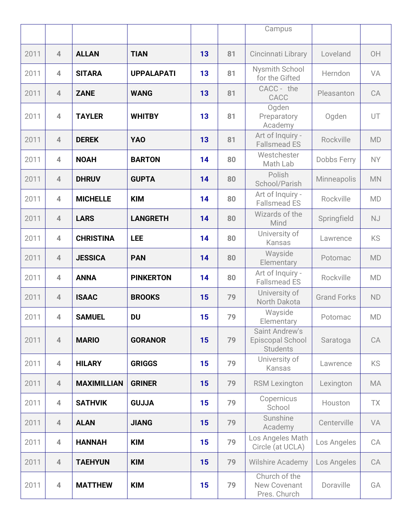|      |                |                    |                   |    |    | Campus                                                |                    |           |
|------|----------------|--------------------|-------------------|----|----|-------------------------------------------------------|--------------------|-----------|
|      |                |                    |                   |    |    |                                                       |                    |           |
| 2011 | $\overline{4}$ | <b>ALLAN</b>       | <b>TIAN</b>       | 13 | 81 | Cincinnati Library                                    | Loveland           | OH        |
| 2011 | $\overline{4}$ | <b>SITARA</b>      | <b>UPPALAPATI</b> | 13 | 81 | <b>Nysmith School</b><br>for the Gifted               | Herndon            | VA        |
| 2011 | $\overline{4}$ | <b>ZANE</b>        | <b>WANG</b>       | 13 | 81 | CACC - the<br>CACC                                    | Pleasanton         | CA        |
| 2011 | $\overline{4}$ | <b>TAYLER</b>      | <b>WHITBY</b>     | 13 | 81 | Ogden<br>Preparatory<br>Academy                       | Ogden              | UT        |
| 2011 | $\overline{4}$ | <b>DEREK</b>       | <b>YAO</b>        | 13 | 81 | Art of Inquiry -<br><b>Fallsmead ES</b>               | Rockville          | <b>MD</b> |
| 2011 | $\overline{4}$ | <b>NOAH</b>        | <b>BARTON</b>     | 14 | 80 | Westchester<br>Math Lab                               | Dobbs Ferry        | <b>NY</b> |
| 2011 | $\overline{4}$ | <b>DHRUV</b>       | <b>GUPTA</b>      | 14 | 80 | Polish<br>School/Parish                               | <b>Minneapolis</b> | <b>MN</b> |
| 2011 | $\overline{4}$ | <b>MICHELLE</b>    | <b>KIM</b>        | 14 | 80 | Art of Inquiry -<br><b>Fallsmead ES</b>               | Rockville          | <b>MD</b> |
| 2011 | $\overline{4}$ | <b>LARS</b>        | <b>LANGRETH</b>   | 14 | 80 | Wizards of the<br>Mind                                | Springfield        | <b>NJ</b> |
| 2011 | $\overline{4}$ | <b>CHRISTINA</b>   | <b>LEE</b>        | 14 | 80 | University of<br>Kansas                               | Lawrence           | KS        |
| 2011 | $\overline{4}$ | <b>JESSICA</b>     | <b>PAN</b>        | 14 | 80 | Wayside<br>Elementary                                 | Potomac            | <b>MD</b> |
| 2011 | $\overline{4}$ | <b>ANNA</b>        | <b>PINKERTON</b>  | 14 | 80 | Art of Inquiry -<br><b>Fallsmead ES</b>               | Rockville          | <b>MD</b> |
| 2011 | $\overline{4}$ | <b>ISAAC</b>       | <b>BROOKS</b>     | 15 | 79 | University of<br>North Dakota                         | <b>Grand Forks</b> | <b>ND</b> |
| 2011 | $\overline{4}$ | <b>SAMUEL</b>      | <b>DU</b>         | 15 | 79 | Wayside<br>Elementary                                 | Potomac            | <b>MD</b> |
| 2011 | $\overline{4}$ | <b>MARIO</b>       | <b>GORANOR</b>    | 15 | 79 | Saint Andrew's<br>Episcopal School<br><b>Students</b> | Saratoga           | CA        |
| 2011 | $\overline{4}$ | <b>HILARY</b>      | <b>GRIGGS</b>     | 15 | 79 | University of<br>Kansas                               | Lawrence           | KS        |
| 2011 | $\overline{4}$ | <b>MAXIMILLIAN</b> | <b>GRINER</b>     | 15 | 79 | <b>RSM Lexington</b>                                  | Lexington          | MA        |
| 2011 | $\overline{4}$ | <b>SATHVIK</b>     | <b>GUJJA</b>      | 15 | 79 | Copernicus<br>School                                  | Houston            | TX        |
| 2011 | $\overline{4}$ | <b>ALAN</b>        | <b>JIANG</b>      | 15 | 79 | Sunshine<br>Academy                                   | Centerville        | VA        |
| 2011 | $\overline{4}$ | <b>HANNAH</b>      | <b>KIM</b>        | 15 | 79 | Los Angeles Math<br>Circle (at UCLA)                  | Los Angeles        | CA        |
| 2011 | $\overline{4}$ | <b>TAEHYUN</b>     | <b>KIM</b>        | 15 | 79 | Wilshire Academy                                      | Los Angeles        | CA        |
| 2011 | $\overline{4}$ | <b>MATTHEW</b>     | <b>KIM</b>        | 15 | 79 | Church of the<br>New Covenant<br>Pres. Church         | Doraville          | GA        |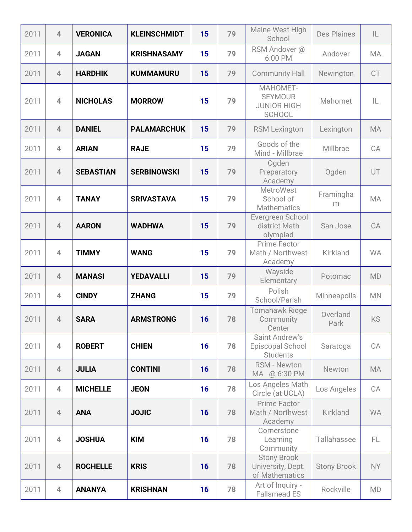| 2011 | $\overline{4}$ | <b>VERONICA</b>  | <b>KLEINSCHMIDT</b> | 15 | 79 | Maine West High<br>School                                         | <b>Des Plaines</b> | IL        |
|------|----------------|------------------|---------------------|----|----|-------------------------------------------------------------------|--------------------|-----------|
| 2011 | $\overline{4}$ | <b>JAGAN</b>     | <b>KRISHNASAMY</b>  | 15 | 79 | RSM Andover @<br>6:00 PM                                          | Andover            | MA        |
| 2011 | $\overline{4}$ | <b>HARDHIK</b>   | <b>KUMMAMURU</b>    | 15 | 79 | <b>Community Hall</b>                                             | Newington          | CT        |
| 2011 | $\overline{4}$ | <b>NICHOLAS</b>  | <b>MORROW</b>       | 15 | 79 | MAHOMET-<br><b>SEYMOUR</b><br><b>JUNIOR HIGH</b><br><b>SCHOOL</b> | Mahomet            | IL        |
| 2011 | $\overline{4}$ | <b>DANIEL</b>    | <b>PALAMARCHUK</b>  | 15 | 79 | <b>RSM Lexington</b>                                              | Lexington          | <b>MA</b> |
| 2011 | $\overline{4}$ | <b>ARIAN</b>     | <b>RAJE</b>         | 15 | 79 | Goods of the<br>Mind - Millbrae                                   | Millbrae           | CA        |
| 2011 | $\overline{4}$ | <b>SEBASTIAN</b> | <b>SERBINOWSKI</b>  | 15 | 79 | Ogden<br>Preparatory<br>Academy                                   | Ogden              | UT        |
| 2011 | $\overline{4}$ | <b>TANAY</b>     | <b>SRIVASTAVA</b>   | 15 | 79 | <b>MetroWest</b><br>School of<br><b>Mathematics</b>               | Framingha<br>m     | <b>MA</b> |
| 2011 | $\overline{4}$ | <b>AARON</b>     | <b>WADHWA</b>       | 15 | 79 | Evergreen School<br>district Math<br>olympiad                     | San Jose           | CA        |
| 2011 | $\overline{4}$ | <b>TIMMY</b>     | <b>WANG</b>         | 15 | 79 | <b>Prime Factor</b><br>Math / Northwest<br>Academy                | Kirkland           | <b>WA</b> |
| 2011 | $\overline{4}$ | <b>MANASI</b>    | <b>YEDAVALLI</b>    | 15 | 79 | Wayside<br>Elementary                                             | Potomac            | <b>MD</b> |
| 2011 | $\overline{4}$ | <b>CINDY</b>     | <b>ZHANG</b>        | 15 | 79 | Polish<br>School/Parish                                           | Minneapolis        | <b>MN</b> |
| 2011 | $\overline{4}$ | <b>SARA</b>      | <b>ARMSTRONG</b>    | 16 | 78 | <b>Tomahawk Ridge</b><br>Community<br>Center                      | Overland<br>Park   | KS        |
| 2011 | $\overline{4}$ | <b>ROBERT</b>    | <b>CHIEN</b>        | 16 | 78 | Saint Andrew's<br>Episcopal School<br><b>Students</b>             | Saratoga           | CA        |
| 2011 | $\overline{4}$ | <b>JULIA</b>     | <b>CONTINI</b>      | 16 | 78 | <b>RSM - Newton</b><br>MA @ 6:30 PM                               | Newton             | MA        |
| 2011 | $\overline{4}$ | <b>MICHELLE</b>  | <b>JEON</b>         | 16 | 78 | Los Angeles Math<br>Circle (at UCLA)                              | Los Angeles        | CA        |
| 2011 | $\overline{4}$ | <b>ANA</b>       | <b>JOJIC</b>        | 16 | 78 | Prime Factor<br>Math / Northwest<br>Academy                       | Kirkland           | <b>WA</b> |
| 2011 | $\overline{4}$ | <b>JOSHUA</b>    | <b>KIM</b>          | 16 | 78 | Cornerstone<br>Learning<br>Community                              | Tallahassee        | FL.       |
| 2011 | $\overline{4}$ | <b>ROCHELLE</b>  | <b>KRIS</b>         | 16 | 78 | <b>Stony Brook</b><br>University, Dept.<br>of Mathematics         | <b>Stony Brook</b> | NY        |
| 2011 | 4              | <b>ANANYA</b>    | <b>KRISHNAN</b>     | 16 | 78 | Art of Inquiry -<br><b>Fallsmead ES</b>                           | Rockville          | <b>MD</b> |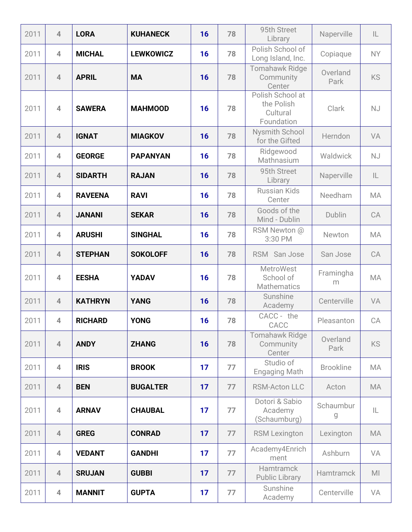| 2011 | $\overline{4}$          | <b>LORA</b>    | <b>KUHANECK</b>  | 16 | 78 | 95th Street<br>Library                                   | Naperville       | IL             |
|------|-------------------------|----------------|------------------|----|----|----------------------------------------------------------|------------------|----------------|
| 2011 | $\overline{\mathbf{4}}$ | <b>MICHAL</b>  | <b>LEWKOWICZ</b> | 16 | 78 | Polish School of<br>Long Island, Inc.                    | Copiaque         | <b>NY</b>      |
| 2011 | $\overline{4}$          | <b>APRIL</b>   | <b>MA</b>        | 16 | 78 | <b>Tomahawk Ridge</b><br>Community<br>Center             | Overland<br>Park | <b>KS</b>      |
| 2011 | $\overline{\mathbf{4}}$ | <b>SAWERA</b>  | <b>MAHMOOD</b>   | 16 | 78 | Polish School at<br>the Polish<br>Cultural<br>Foundation | Clark            | NJ             |
| 2011 | $\overline{4}$          | <b>IGNAT</b>   | <b>MIAGKOV</b>   | 16 | 78 | Nysmith School<br>for the Gifted                         | Herndon          | VA             |
| 2011 | $\overline{4}$          | <b>GEORGE</b>  | <b>PAPANYAN</b>  | 16 | 78 | Ridgewood<br>Mathnasium                                  | Waldwick         | NJ             |
| 2011 | $\overline{4}$          | <b>SIDARTH</b> | <b>RAJAN</b>     | 16 | 78 | 95th Street<br>Library                                   | Naperville       | IL             |
| 2011 | $\overline{4}$          | <b>RAVEENA</b> | <b>RAVI</b>      | 16 | 78 | <b>Russian Kids</b><br>Center                            | Needham          | <b>MA</b>      |
| 2011 | $\overline{4}$          | <b>JANANI</b>  | <b>SEKAR</b>     | 16 | 78 | Goods of the<br>Mind - Dublin                            | Dublin           | CA             |
| 2011 | $\overline{4}$          | <b>ARUSHI</b>  | <b>SINGHAL</b>   | 16 | 78 | RSM Newton @<br>3:30 PM                                  | Newton           | MA             |
| 2011 | $\overline{4}$          | <b>STEPHAN</b> | <b>SOKOLOFF</b>  | 16 | 78 | RSM San Jose                                             | San Jose         | CA             |
| 2011 | $\overline{4}$          | <b>EESHA</b>   | <b>YADAV</b>     | 16 | 78 | MetroWest<br>School of<br><b>Mathematics</b>             | Framingha<br>m   | MA             |
| 2011 | $\overline{4}$          | <b>KATHRYN</b> | <b>YANG</b>      | 16 | 78 | Sunshine<br>Academy                                      | Centerville      | VA             |
| 2011 | 4                       | <b>RICHARD</b> | <b>YONG</b>      | 16 | 78 | CACC - the<br>CACC                                       | Pleasanton       | CA             |
| 2011 | $\overline{4}$          | <b>ANDY</b>    | <b>ZHANG</b>     | 16 | 78 | <b>Tomahawk Ridge</b><br>Community<br>Center             | Overland<br>Park | <b>KS</b>      |
| 2011 | $\overline{4}$          | <b>IRIS</b>    | <b>BROOK</b>     | 17 | 77 | Studio of<br><b>Engaging Math</b>                        | <b>Brookline</b> | <b>MA</b>      |
| 2011 | $\overline{4}$          | <b>BEN</b>     | <b>BUGALTER</b>  | 17 | 77 | <b>RSM-Acton LLC</b>                                     | Acton            | <b>MA</b>      |
| 2011 | $\overline{4}$          | <b>ARNAV</b>   | <b>CHAUBAL</b>   | 17 | 77 | Dotori & Sabio<br>Academy<br>(Schaumburg)                | Schaumbur<br>g   | IL             |
| 2011 | $\overline{4}$          | <b>GREG</b>    | <b>CONRAD</b>    | 17 | 77 | <b>RSM Lexington</b>                                     | Lexington        | MA             |
| 2011 | $\overline{4}$          | <b>VEDANT</b>  | <b>GANDHI</b>    | 17 | 77 | Academy4Enrich<br>ment                                   | Ashburn          | VA             |
| 2011 | $\overline{4}$          | <b>SRUJAN</b>  | <b>GUBBI</b>     | 17 | 77 | <b>Hamtramck</b><br><b>Public Library</b>                | <b>Hamtramck</b> | M <sub>l</sub> |
| 2011 | $\overline{4}$          | <b>MANNIT</b>  | <b>GUPTA</b>     | 17 | 77 | Sunshine<br>Academy                                      | Centerville      | VA             |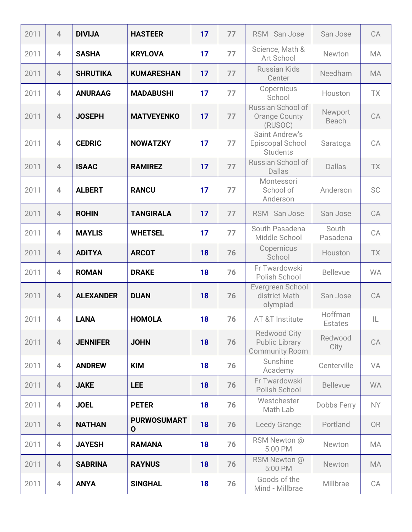| 2011 | $\overline{4}$ | <b>DIVIJA</b>    | <b>HASTEER</b>                    | 17 | 77 | RSM San Jose                                                          | San Jose                  | CA        |
|------|----------------|------------------|-----------------------------------|----|----|-----------------------------------------------------------------------|---------------------------|-----------|
| 2011 | $\overline{4}$ | <b>SASHA</b>     | <b>KRYLOVA</b>                    | 17 | 77 | Science, Math &<br>Art School                                         | Newton                    | <b>MA</b> |
| 2011 | $\overline{4}$ | <b>SHRUTIKA</b>  | <b>KUMARESHAN</b>                 | 17 | 77 | <b>Russian Kids</b><br>Center                                         | Needham                   | MA        |
| 2011 | $\overline{4}$ | <b>ANURAAG</b>   | <b>MADABUSHI</b>                  | 17 | 77 | Copernicus<br>School                                                  | Houston                   | TX        |
| 2011 | $\overline{4}$ | <b>JOSEPH</b>    | <b>MATVEYENKO</b>                 | 17 | 77 | Russian School of<br><b>Orange County</b><br>(RUSOC)                  | Newport<br>Beach          | CA        |
| 2011 | $\overline{4}$ | <b>CEDRIC</b>    | <b>NOWATZKY</b>                   | 17 | 77 | <b>Saint Andrew's</b><br>Episcopal School<br><b>Students</b>          | Saratoga                  | CA        |
| 2011 | $\overline{4}$ | <b>ISAAC</b>     | <b>RAMIREZ</b>                    | 17 | 77 | Russian School of<br><b>Dallas</b>                                    | <b>Dallas</b>             | TX        |
| 2011 | $\overline{4}$ | <b>ALBERT</b>    | <b>RANCU</b>                      | 17 | 77 | Montessori<br>School of<br>Anderson                                   | Anderson                  | <b>SC</b> |
| 2011 | $\overline{4}$ | <b>ROHIN</b>     | <b>TANGIRALA</b>                  | 17 | 77 | RSM San Jose                                                          | San Jose                  | CA        |
| 2011 | $\overline{4}$ | <b>MAYLIS</b>    | <b>WHETSEL</b>                    | 17 | 77 | South Pasadena<br>Middle School                                       | South<br>Pasadena         | CA        |
| 2011 | $\overline{4}$ | <b>ADITYA</b>    | <b>ARCOT</b>                      | 18 | 76 | Copernicus<br>School                                                  | Houston                   | TX        |
| 2011 | $\overline{4}$ | <b>ROMAN</b>     | <b>DRAKE</b>                      | 18 | 76 | Fr Twardowski<br>Polish School                                        | <b>Bellevue</b>           | <b>WA</b> |
| 2011 | $\overline{4}$ | <b>ALEXANDER</b> | <b>DUAN</b>                       | 18 | 76 | Evergreen School<br>district Math<br>olympiad                         | San Jose                  | CA        |
| 2011 | 4              | <b>LANA</b>      | <b>HOMOLA</b>                     | 18 | 76 | AT &T Institute                                                       | Hoffman<br><b>Estates</b> | IL        |
| 2011 | $\overline{4}$ | <b>JENNIFER</b>  | <b>JOHN</b>                       | 18 | 76 | <b>Redwood City</b><br><b>Public Library</b><br><b>Community Room</b> | Redwood<br>City           | CA        |
| 2011 | $\overline{4}$ | <b>ANDREW</b>    | <b>KIM</b>                        | 18 | 76 | Sunshine<br>Academy                                                   | Centerville               | VA        |
| 2011 | $\overline{4}$ | <b>JAKE</b>      | <b>LEE</b>                        | 18 | 76 | Fr Twardowski<br>Polish School                                        | <b>Bellevue</b>           | <b>WA</b> |
| 2011 | $\overline{4}$ | <b>JOEL</b>      | <b>PETER</b>                      | 18 | 76 | Westchester<br>Math Lab                                               | Dobbs Ferry               | NY.       |
| 2011 | $\overline{4}$ | <b>NATHAN</b>    | <b>PURWOSUMART</b><br>$\mathbf 0$ | 18 | 76 | Leedy Grange                                                          | Portland                  | <b>OR</b> |
| 2011 | $\overline{4}$ | <b>JAYESH</b>    | <b>RAMANA</b>                     | 18 | 76 | RSM Newton @<br>5:00 PM                                               | Newton                    | MA        |
| 2011 | $\overline{4}$ | <b>SABRINA</b>   | <b>RAYNUS</b>                     | 18 | 76 | RSM Newton @<br>5:00 PM                                               | Newton                    | MA        |
| 2011 | 4              | <b>ANYA</b>      | <b>SINGHAL</b>                    | 18 | 76 | Goods of the<br>Mind - Millbrae                                       | Millbrae                  | CA        |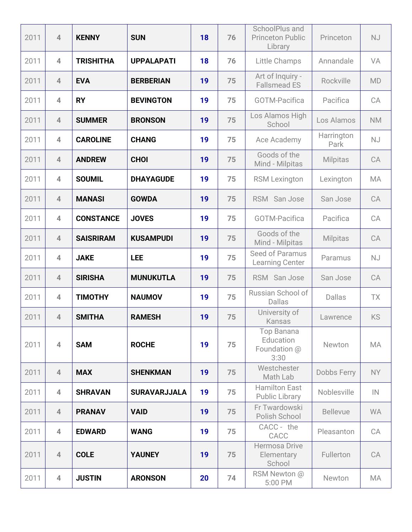| 2011 | $\overline{4}$ | <b>KENNY</b>     | <b>SUN</b>          | 18 | 76 | SchoolPlus and<br><b>Princeton Public</b><br>Library | Princeton          | <b>NJ</b> |
|------|----------------|------------------|---------------------|----|----|------------------------------------------------------|--------------------|-----------|
| 2011 | $\overline{4}$ | <b>TRISHITHA</b> | <b>UPPALAPATI</b>   | 18 | 76 | Little Champs                                        | Annandale          | VA        |
| 2011 | $\overline{4}$ | <b>EVA</b>       | <b>BERBERIAN</b>    | 19 | 75 | Art of Inquiry -<br><b>Fallsmead ES</b>              | Rockville          | <b>MD</b> |
| 2011 | $\overline{4}$ | <b>RY</b>        | <b>BEVINGTON</b>    | 19 | 75 | <b>GOTM-Pacifica</b>                                 | Pacifica           | CA        |
| 2011 | $\overline{4}$ | <b>SUMMER</b>    | <b>BRONSON</b>      | 19 | 75 | Los Alamos High<br>School                            | Los Alamos         | <b>NM</b> |
| 2011 | $\overline{4}$ | <b>CAROLINE</b>  | <b>CHANG</b>        | 19 | 75 | Ace Academy                                          | Harrington<br>Park | <b>NJ</b> |
| 2011 | $\overline{4}$ | <b>ANDREW</b>    | <b>CHOI</b>         | 19 | 75 | Goods of the<br>Mind - Milpitas                      | <b>Milpitas</b>    | CA        |
| 2011 | $\overline{4}$ | <b>SOUMIL</b>    | <b>DHAYAGUDE</b>    | 19 | 75 | <b>RSM Lexington</b>                                 | Lexington          | <b>MA</b> |
| 2011 | $\overline{4}$ | <b>MANASI</b>    | <b>GOWDA</b>        | 19 | 75 | RSM San Jose                                         | San Jose           | CA        |
| 2011 | $\overline{4}$ | <b>CONSTANCE</b> | <b>JOVES</b>        | 19 | 75 | <b>GOTM-Pacifica</b>                                 | Pacifica           | CA        |
| 2011 | $\overline{4}$ | <b>SAISRIRAM</b> | <b>KUSAMPUDI</b>    | 19 | 75 | Goods of the<br>Mind - Milpitas                      | <b>Milpitas</b>    | CA        |
| 2011 | $\overline{4}$ | <b>JAKE</b>      | <b>LEE</b>          | 19 | 75 | Seed of Paramus<br>Learning Center                   | Paramus            | <b>NJ</b> |
| 2011 | $\overline{4}$ | <b>SIRISHA</b>   | <b>MUNUKUTLA</b>    | 19 | 75 | RSM San Jose                                         | San Jose           | CA        |
| 2011 | $\overline{4}$ | <b>TIMOTHY</b>   | <b>NAUMOV</b>       | 19 | 75 | Russian School of<br><b>Dallas</b>                   | Dallas             | <b>TX</b> |
| 2011 | $\overline{4}$ | <b>SMITHA</b>    | <b>RAMESH</b>       | 19 | 75 | University of<br>Kansas                              | Lawrence           | KS        |
| 2011 | $\overline{4}$ | <b>SAM</b>       | <b>ROCHE</b>        | 19 | 75 | Top Banana<br>Education<br>Foundation @<br>3:30      | Newton             | <b>MA</b> |
| 2011 | $\overline{4}$ | <b>MAX</b>       | <b>SHENKMAN</b>     | 19 | 75 | Westchester<br>Math Lab                              | Dobbs Ferry        | <b>NY</b> |
| 2011 | $\overline{4}$ | <b>SHRAVAN</b>   | <b>SURAVARJJALA</b> | 19 | 75 | <b>Hamilton East</b><br>Public Library               | Noblesville        | IN        |
| 2011 | $\overline{4}$ | <b>PRANAV</b>    | <b>VAID</b>         | 19 | 75 | Fr Twardowski<br>Polish School                       | <b>Bellevue</b>    | <b>WA</b> |
| 2011 | $\overline{4}$ | <b>EDWARD</b>    | <b>WANG</b>         | 19 | 75 | CACC - the<br>CACC                                   | Pleasanton         | CA        |
| 2011 | $\overline{4}$ | <b>COLE</b>      | <b>YAUNEY</b>       | 19 | 75 | <b>Hermosa Drive</b><br>Elementary<br>School         | Fullerton          | CA        |
| 2011 | $\overline{4}$ | <b>JUSTIN</b>    | <b>ARONSON</b>      | 20 | 74 | RSM Newton @<br>5:00 PM                              | Newton             | MA        |